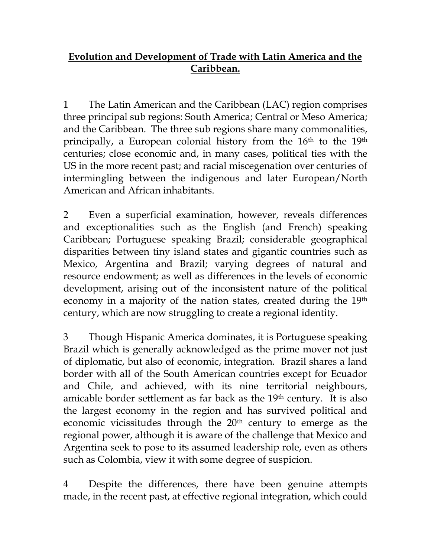## **Evolution and Development of Trade with Latin America and the Caribbean.**

1 The Latin American and the Caribbean (LAC) region comprises three principal sub regions: South America; Central or Meso America; and the Caribbean. The three sub regions share many commonalities, principally, a European colonial history from the 16<sup>th</sup> to the 19<sup>th</sup> centuries; close economic and, in many cases, political ties with the US in the more recent past; and racial miscegenation over centuries of intermingling between the indigenous and later European/North American and African inhabitants.

2 Even a superficial examination, however, reveals differences and exceptionalities such as the English (and French) speaking Caribbean; Portuguese speaking Brazil; considerable geographical disparities between tiny island states and gigantic countries such as Mexico, Argentina and Brazil; varying degrees of natural and resource endowment; as well as differences in the levels of economic development, arising out of the inconsistent nature of the political economy in a majority of the nation states, created during the 19th century, which are now struggling to create a regional identity.

3 Though Hispanic America dominates, it is Portuguese speaking Brazil which is generally acknowledged as the prime mover not just of diplomatic, but also of economic, integration. Brazil shares a land border with all of the South American countries except for Ecuador and Chile, and achieved, with its nine territorial neighbours, amicable border settlement as far back as the 19th century. It is also the largest economy in the region and has survived political and economic vicissitudes through the 20<sup>th</sup> century to emerge as the regional power, although it is aware of the challenge that Mexico and Argentina seek to pose to its assumed leadership role, even as others such as Colombia, view it with some degree of suspicion.

4 Despite the differences, there have been genuine attempts made, in the recent past, at effective regional integration, which could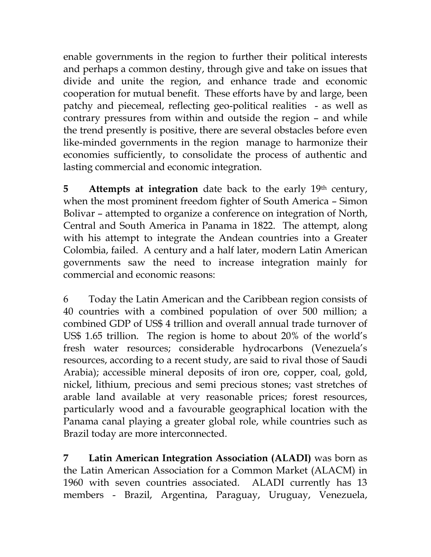enable governments in the region to further their political interests and perhaps a common destiny, through give and take on issues that divide and unite the region, and enhance trade and economic cooperation for mutual benefit. These efforts have by and large, been patchy and piecemeal, reflecting geo-political realities - as well as contrary pressures from within and outside the region – and while the trend presently is positive, there are several obstacles before even like-minded governments in the region manage to harmonize their economies sufficiently, to consolidate the process of authentic and lasting commercial and economic integration.

**5 Attempts at integration** date back to the early 19<sup>th</sup> century, when the most prominent freedom fighter of South America – Simon Bolivar – attempted to organize a conference on integration of North, Central and South America in Panama in 1822. The attempt, along with his attempt to integrate the Andean countries into a Greater Colombia, failed. A century and a half later, modern Latin American governments saw the need to increase integration mainly for commercial and economic reasons:

6 Today the Latin American and the Caribbean region consists of 40 countries with a combined population of over 500 million; a combined GDP of US\$ 4 trillion and overall annual trade turnover of US\$ 1.65 trillion. The region is home to about 20% of the world's fresh water resources; considerable hydrocarbons (Venezuela's resources, according to a recent study, are said to rival those of Saudi Arabia); accessible mineral deposits of iron ore, copper, coal, gold, nickel, lithium, precious and semi precious stones; vast stretches of arable land available at very reasonable prices; forest resources, particularly wood and a favourable geographical location with the Panama canal playing a greater global role, while countries such as Brazil today are more interconnected.

**7 Latin American Integration Association (ALADI)** was born as the Latin American Association for a Common Market (ALACM) in 1960 with seven countries associated. ALADI currently has 13 members - Brazil, Argentina, Paraguay, Uruguay, Venezuela,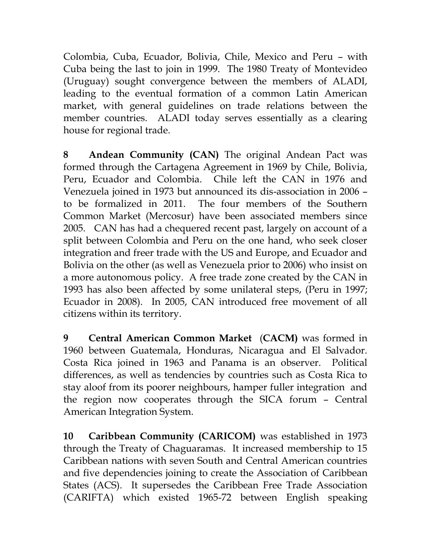Colombia, Cuba, Ecuador, Bolivia, Chile, Mexico and Peru – with Cuba being the last to join in 1999. The 1980 Treaty of Montevideo (Uruguay) sought convergence between the members of ALADI, leading to the eventual formation of a common Latin American market, with general guidelines on trade relations between the member countries. ALADI today serves essentially as a clearing house for regional trade.

**8 Andean Community (CAN)** The original Andean Pact was formed through the Cartagena Agreement in 1969 by Chile, Bolivia, Peru, Ecuador and Colombia. Chile left the CAN in 1976 and Venezuela joined in 1973 but announced its dis-association in 2006 – to be formalized in 2011. The four members of the Southern Common Market (Mercosur) have been associated members since 2005. CAN has had a chequered recent past, largely on account of a split between Colombia and Peru on the one hand, who seek closer integration and freer trade with the US and Europe, and Ecuador and Bolivia on the other (as well as Venezuela prior to 2006) who insist on a more autonomous policy. A free trade zone created by the CAN in 1993 has also been affected by some unilateral steps, (Peru in 1997; Ecuador in 2008). In 2005, CAN introduced free movement of all citizens within its territory.

**9 Central American Common Market** (**CACM)** was formed in 1960 between Guatemala, Honduras, Nicaragua and El Salvador. Costa Rica joined in 1963 and Panama is an observer. Political differences, as well as tendencies by countries such as Costa Rica to stay aloof from its poorer neighbours, hamper fuller integration and the region now cooperates through the SICA forum – Central American Integration System.

**10 Caribbean Community (CARICOM)** was established in 1973 through the Treaty of Chaguaramas. It increased membership to 15 Caribbean nations with seven South and Central American countries and five dependencies joining to create the Association of Caribbean States (ACS). It supersedes the Caribbean Free Trade Association (CARIFTA) which existed 1965-72 between English speaking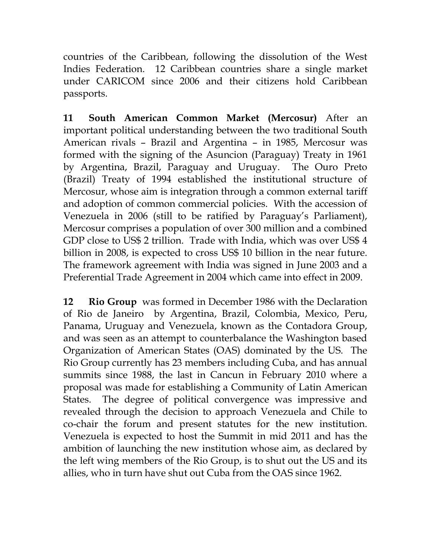countries of the Caribbean, following the dissolution of the West Indies Federation. 12 Caribbean countries share a single market under CARICOM since 2006 and their citizens hold Caribbean passports.

**11 South American Common Market (Mercosur)** After an important political understanding between the two traditional South American rivals – Brazil and Argentina – in 1985, Mercosur was formed with the signing of the Asuncion (Paraguay) Treaty in 1961 by Argentina, Brazil, Paraguay and Uruguay. The Ouro Preto (Brazil) Treaty of 1994 established the institutional structure of Mercosur, whose aim is integration through a common external tariff and adoption of common commercial policies. With the accession of Venezuela in 2006 (still to be ratified by Paraguay's Parliament), Mercosur comprises a population of over 300 million and a combined GDP close to US\$ 2 trillion. Trade with India, which was over US\$ 4 billion in 2008, is expected to cross US\$ 10 billion in the near future. The framework agreement with India was signed in June 2003 and a Preferential Trade Agreement in 2004 which came into effect in 2009.

**12 Rio Group** was formed in December 1986 with the Declaration of Rio de Janeiro by Argentina, Brazil, Colombia, Mexico, Peru, Panama, Uruguay and Venezuela, known as the Contadora Group, and was seen as an attempt to counterbalance the Washington based Organization of American States (OAS) dominated by the US. The Rio Group currently has 23 members including Cuba, and has annual summits since 1988, the last in Cancun in February 2010 where a proposal was made for establishing a Community of Latin American States. The degree of political convergence was impressive and revealed through the decision to approach Venezuela and Chile to co-chair the forum and present statutes for the new institution. Venezuela is expected to host the Summit in mid 2011 and has the ambition of launching the new institution whose aim, as declared by the left wing members of the Rio Group, is to shut out the US and its allies, who in turn have shut out Cuba from the OAS since 1962.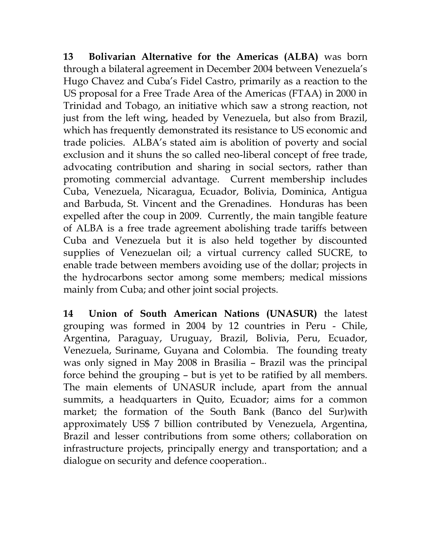**13 Bolivarian Alternative for the Americas (ALBA)** was born through a bilateral agreement in December 2004 between Venezuela's Hugo Chavez and Cuba's Fidel Castro, primarily as a reaction to the US proposal for a Free Trade Area of the Americas (FTAA) in 2000 in Trinidad and Tobago, an initiative which saw a strong reaction, not just from the left wing, headed by Venezuela, but also from Brazil, which has frequently demonstrated its resistance to US economic and trade policies. ALBA's stated aim is abolition of poverty and social exclusion and it shuns the so called neo-liberal concept of free trade, advocating contribution and sharing in social sectors, rather than promoting commercial advantage. Current membership includes Cuba, Venezuela, Nicaragua, Ecuador, Bolivia, Dominica, Antigua and Barbuda, St. Vincent and the Grenadines. Honduras has been expelled after the coup in 2009. Currently, the main tangible feature of ALBA is a free trade agreement abolishing trade tariffs between Cuba and Venezuela but it is also held together by discounted supplies of Venezuelan oil; a virtual currency called SUCRE, to enable trade between members avoiding use of the dollar; projects in the hydrocarbons sector among some members; medical missions mainly from Cuba; and other joint social projects.

**14 Union of South American Nations (UNASUR)** the latest grouping was formed in 2004 by 12 countries in Peru - Chile, Argentina, Paraguay, Uruguay, Brazil, Bolivia, Peru, Ecuador, Venezuela, Suriname, Guyana and Colombia. The founding treaty was only signed in May 2008 in Brasilia – Brazil was the principal force behind the grouping – but is yet to be ratified by all members. The main elements of UNASUR include, apart from the annual summits, a headquarters in Quito, Ecuador; aims for a common market; the formation of the South Bank (Banco del Sur)with approximately US\$ 7 billion contributed by Venezuela, Argentina, Brazil and lesser contributions from some others; collaboration on infrastructure projects, principally energy and transportation; and a dialogue on security and defence cooperation..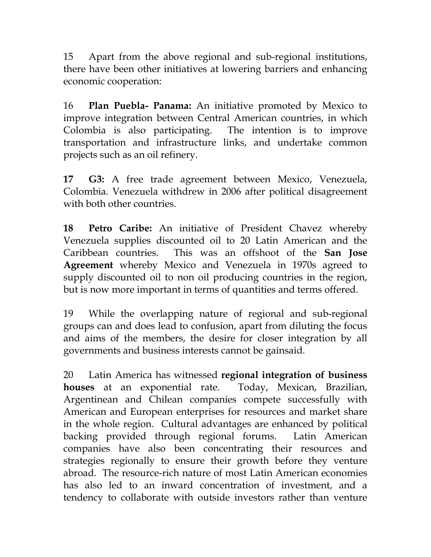15 Apart from the above regional and sub-regional institutions, there have been other initiatives at lowering barriers and enhancing economic cooperation:

16 **Plan Puebla- Panama:** An initiative promoted by Mexico to improve integration between Central American countries, in which Colombia is also participating. The intention is to improve transportation and infrastructure links, and undertake common projects such as an oil refinery.

**17 G3:** A free trade agreement between Mexico, Venezuela, Colombia. Venezuela withdrew in 2006 after political disagreement with both other countries.

**18 Petro Caribe:** An initiative of President Chavez whereby Venezuela supplies discounted oil to 20 Latin American and the Caribbean countries. This was an offshoot of the **San Jose Agreement** whereby Mexico and Venezuela in 1970s agreed to supply discounted oil to non oil producing countries in the region, but is now more important in terms of quantities and terms offered.

19 While the overlapping nature of regional and sub-regional groups can and does lead to confusion, apart from diluting the focus and aims of the members, the desire for closer integration by all governments and business interests cannot be gainsaid.

20 Latin America has witnessed **regional integration of business houses** at an exponential rate. Today, Mexican, Brazilian, Argentinean and Chilean companies compete successfully with American and European enterprises for resources and market share in the whole region. Cultural advantages are enhanced by political backing provided through regional forums. Latin American companies have also been concentrating their resources and strategies regionally to ensure their growth before they venture abroad. The resource-rich nature of most Latin American economies has also led to an inward concentration of investment, and a tendency to collaborate with outside investors rather than venture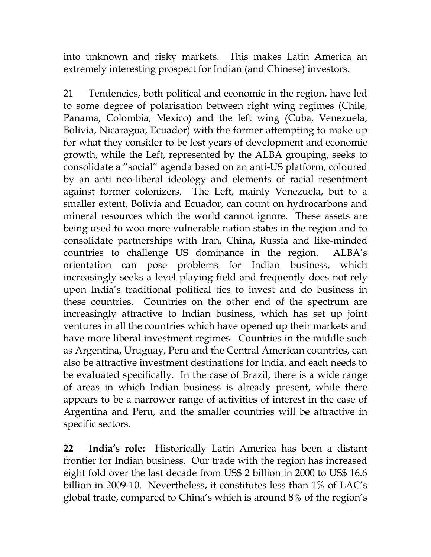into unknown and risky markets. This makes Latin America an extremely interesting prospect for Indian (and Chinese) investors.

21 Tendencies, both political and economic in the region, have led to some degree of polarisation between right wing regimes (Chile, Panama, Colombia, Mexico) and the left wing (Cuba, Venezuela, Bolivia, Nicaragua, Ecuador) with the former attempting to make up for what they consider to be lost years of development and economic growth, while the Left, represented by the ALBA grouping, seeks to consolidate a "social" agenda based on an anti-US platform, coloured by an anti neo-liberal ideology and elements of racial resentment against former colonizers. The Left, mainly Venezuela, but to a smaller extent, Bolivia and Ecuador, can count on hydrocarbons and mineral resources which the world cannot ignore. These assets are being used to woo more vulnerable nation states in the region and to consolidate partnerships with Iran, China, Russia and like-minded countries to challenge US dominance in the region. ALBA's orientation can pose problems for Indian business, which increasingly seeks a level playing field and frequently does not rely upon India's traditional political ties to invest and do business in these countries. Countries on the other end of the spectrum are increasingly attractive to Indian business, which has set up joint ventures in all the countries which have opened up their markets and have more liberal investment regimes. Countries in the middle such as Argentina, Uruguay, Peru and the Central American countries, can also be attractive investment destinations for India, and each needs to be evaluated specifically. In the case of Brazil, there is a wide range of areas in which Indian business is already present, while there appears to be a narrower range of activities of interest in the case of Argentina and Peru, and the smaller countries will be attractive in specific sectors.

**22 India's role:** Historically Latin America has been a distant frontier for Indian business. Our trade with the region has increased eight fold over the last decade from US\$ 2 billion in 2000 to US\$ 16.6 billion in 2009-10. Nevertheless, it constitutes less than 1% of LAC's global trade, compared to China's which is around 8% of the region's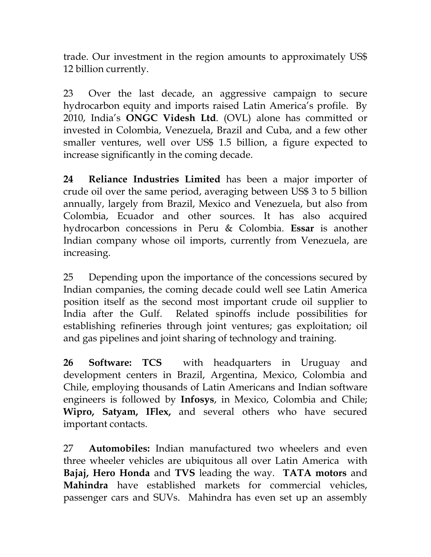trade. Our investment in the region amounts to approximately US\$ 12 billion currently.

23 Over the last decade, an aggressive campaign to secure hydrocarbon equity and imports raised Latin America's profile. By 2010, India's **ONGC Videsh Ltd**. (OVL) alone has committed or invested in Colombia, Venezuela, Brazil and Cuba, and a few other smaller ventures, well over US\$ 1.5 billion, a figure expected to increase significantly in the coming decade.

**24 Reliance Industries Limited** has been a major importer of crude oil over the same period, averaging between US\$ 3 to 5 billion annually, largely from Brazil, Mexico and Venezuela, but also from Colombia, Ecuador and other sources. It has also acquired hydrocarbon concessions in Peru & Colombia. **Essar** is another Indian company whose oil imports, currently from Venezuela, are increasing.

25 Depending upon the importance of the concessions secured by Indian companies, the coming decade could well see Latin America position itself as the second most important crude oil supplier to India after the Gulf. Related spinoffs include possibilities for establishing refineries through joint ventures; gas exploitation; oil and gas pipelines and joint sharing of technology and training.

**26 Software: TCS** with headquarters in Uruguay and development centers in Brazil, Argentina, Mexico, Colombia and Chile, employing thousands of Latin Americans and Indian software engineers is followed by **Infosys**, in Mexico, Colombia and Chile; **Wipro, Satyam, IFlex,** and several others who have secured important contacts.

27 **Automobiles:** Indian manufactured two wheelers and even three wheeler vehicles are ubiquitous all over Latin America with **Bajaj, Hero Honda** and **TVS** leading the way. **TATA motors** and **Mahindra** have established markets for commercial vehicles, passenger cars and SUVs. Mahindra has even set up an assembly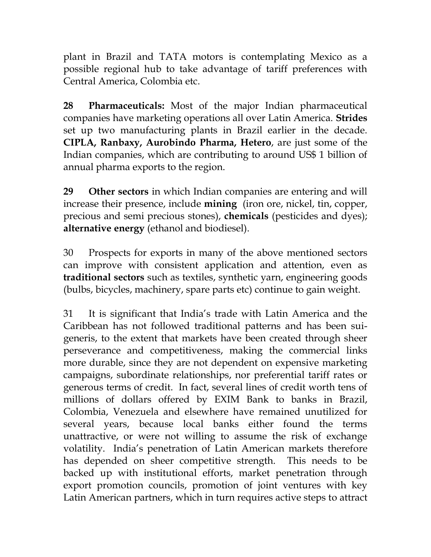plant in Brazil and TATA motors is contemplating Mexico as a possible regional hub to take advantage of tariff preferences with Central America, Colombia etc.

**28 Pharmaceuticals:** Most of the major Indian pharmaceutical companies have marketing operations all over Latin America. **Strides** set up two manufacturing plants in Brazil earlier in the decade. **CIPLA, Ranbaxy, Aurobindo Pharma, Hetero**, are just some of the Indian companies, which are contributing to around US\$ 1 billion of annual pharma exports to the region.

**29 Other sectors** in which Indian companies are entering and will increase their presence, include **mining** (iron ore, nickel, tin, copper, precious and semi precious stones), **chemicals** (pesticides and dyes); **alternative energy** (ethanol and biodiesel).

30 Prospects for exports in many of the above mentioned sectors can improve with consistent application and attention, even as **traditional sectors** such as textiles, synthetic yarn, engineering goods (bulbs, bicycles, machinery, spare parts etc) continue to gain weight.

31 It is significant that India's trade with Latin America and the Caribbean has not followed traditional patterns and has been suigeneris, to the extent that markets have been created through sheer perseverance and competitiveness, making the commercial links more durable, since they are not dependent on expensive marketing campaigns, subordinate relationships, nor preferential tariff rates or generous terms of credit. In fact, several lines of credit worth tens of millions of dollars offered by EXIM Bank to banks in Brazil, Colombia, Venezuela and elsewhere have remained unutilized for several years, because local banks either found the terms unattractive, or were not willing to assume the risk of exchange volatility. India's penetration of Latin American markets therefore has depended on sheer competitive strength. This needs to be backed up with institutional efforts, market penetration through export promotion councils, promotion of joint ventures with key Latin American partners, which in turn requires active steps to attract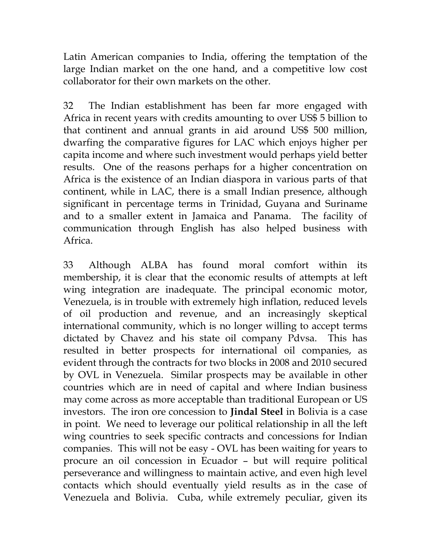Latin American companies to India, offering the temptation of the large Indian market on the one hand, and a competitive low cost collaborator for their own markets on the other.

32 The Indian establishment has been far more engaged with Africa in recent years with credits amounting to over US\$ 5 billion to that continent and annual grants in aid around US\$ 500 million, dwarfing the comparative figures for LAC which enjoys higher per capita income and where such investment would perhaps yield better results. One of the reasons perhaps for a higher concentration on Africa is the existence of an Indian diaspora in various parts of that continent, while in LAC, there is a small Indian presence, although significant in percentage terms in Trinidad, Guyana and Suriname and to a smaller extent in Jamaica and Panama. The facility of communication through English has also helped business with Africa.

33 Although ALBA has found moral comfort within its membership, it is clear that the economic results of attempts at left wing integration are inadequate. The principal economic motor, Venezuela, is in trouble with extremely high inflation, reduced levels of oil production and revenue, and an increasingly skeptical international community, which is no longer willing to accept terms dictated by Chavez and his state oil company Pdvsa. This has resulted in better prospects for international oil companies, as evident through the contracts for two blocks in 2008 and 2010 secured by OVL in Venezuela. Similar prospects may be available in other countries which are in need of capital and where Indian business may come across as more acceptable than traditional European or US investors. The iron ore concession to **Jindal Steel** in Bolivia is a case in point. We need to leverage our political relationship in all the left wing countries to seek specific contracts and concessions for Indian companies. This will not be easy - OVL has been waiting for years to procure an oil concession in Ecuador – but will require political perseverance and willingness to maintain active, and even high level contacts which should eventually yield results as in the case of Venezuela and Bolivia. Cuba, while extremely peculiar, given its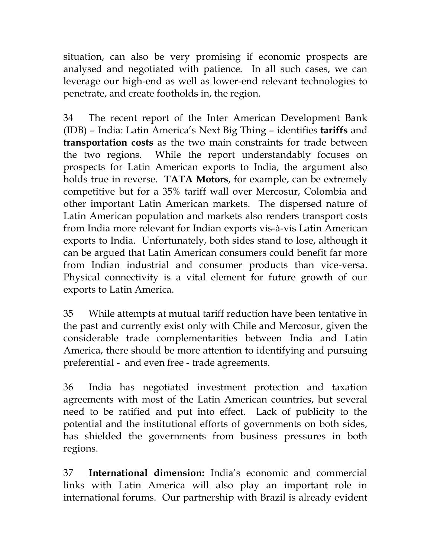situation, can also be very promising if economic prospects are analysed and negotiated with patience. In all such cases, we can leverage our high-end as well as lower-end relevant technologies to penetrate, and create footholds in, the region.

34 The recent report of the Inter American Development Bank (IDB) – India: Latin America's Next Big Thing – identifies **tariffs** and **transportation costs** as the two main constraints for trade between the two regions. While the report understandably focuses on prospects for Latin American exports to India, the argument also holds true in reverse. **TATA Motors**, for example, can be extremely competitive but for a 35% tariff wall over Mercosur, Colombia and other important Latin American markets. The dispersed nature of Latin American population and markets also renders transport costs from India more relevant for Indian exports vis-à-vis Latin American exports to India. Unfortunately, both sides stand to lose, although it can be argued that Latin American consumers could benefit far more from Indian industrial and consumer products than vice-versa. Physical connectivity is a vital element for future growth of our exports to Latin America.

35 While attempts at mutual tariff reduction have been tentative in the past and currently exist only with Chile and Mercosur, given the considerable trade complementarities between India and Latin America, there should be more attention to identifying and pursuing preferential - and even free - trade agreements.

36 India has negotiated investment protection and taxation agreements with most of the Latin American countries, but several need to be ratified and put into effect. Lack of publicity to the potential and the institutional efforts of governments on both sides, has shielded the governments from business pressures in both regions.

37 **International dimension:** India's economic and commercial links with Latin America will also play an important role in international forums. Our partnership with Brazil is already evident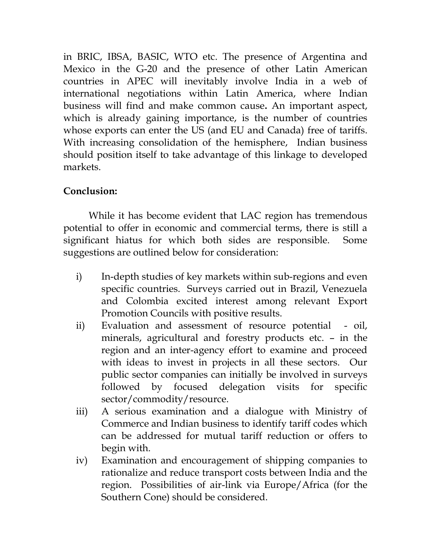in BRIC, IBSA, BASIC, WTO etc. The presence of Argentina and Mexico in the G-20 and the presence of other Latin American countries in APEC will inevitably involve India in a web of international negotiations within Latin America, where Indian business will find and make common cause**.** An important aspect, which is already gaining importance, is the number of countries whose exports can enter the US (and EU and Canada) free of tariffs. With increasing consolidation of the hemisphere, Indian business should position itself to take advantage of this linkage to developed markets.

## **Conclusion:**

While it has become evident that LAC region has tremendous potential to offer in economic and commercial terms, there is still a significant hiatus for which both sides are responsible. Some suggestions are outlined below for consideration:

- i) In-depth studies of key markets within sub-regions and even specific countries. Surveys carried out in Brazil, Venezuela and Colombia excited interest among relevant Export Promotion Councils with positive results.
- ii) Evaluation and assessment of resource potential oil, minerals, agricultural and forestry products etc. – in the region and an inter-agency effort to examine and proceed with ideas to invest in projects in all these sectors. Our public sector companies can initially be involved in surveys followed by focused delegation visits for specific sector/commodity/resource.
- iii) A serious examination and a dialogue with Ministry of Commerce and Indian business to identify tariff codes which can be addressed for mutual tariff reduction or offers to begin with.
- iv) Examination and encouragement of shipping companies to rationalize and reduce transport costs between India and the region. Possibilities of air-link via Europe/Africa (for the Southern Cone) should be considered.